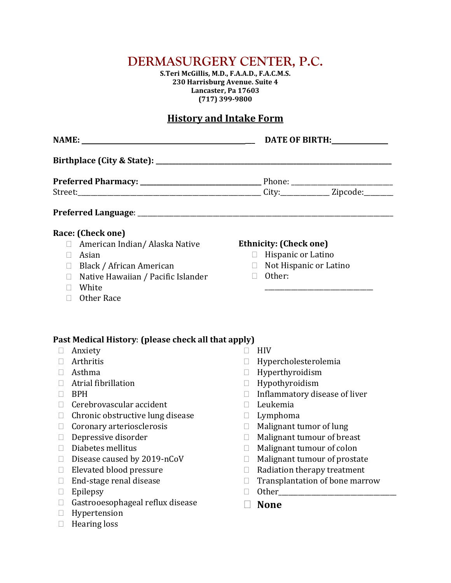# **DERMASURGERY CENTER, P.C.**

**S.Teri McGillis, M.D., F.A.A.D., F.A.C.M.S. 230 Harrisburg Avenue. Suite 4 Lancaster, Pa 17603 (717) 399-9800**

## **History and Intake Form**

| Race: (Check one)                                             |                               |
|---------------------------------------------------------------|-------------------------------|
| $\Box$ American Indian/Alaska Native                          | <b>Ethnicity: (Check one)</b> |
| $\Box$ Asian                                                  | $\Box$ Hispanic or Latino     |
| $\Box$ Black / African American                               | $\Box$ Not Hispanic or Latino |
| $\Box$ Other:<br>Native Hawaiian / Pacific Islander<br>$\Box$ |                               |
| $\Box$ White                                                  |                               |
| □ Other Race                                                  |                               |

- Anxiety
- Arthritis
- Asthma
- Atrial fibrillation
- $\Box$  BPH
- $\Box$  Cerebrovascular accident
- $\Box$  Chronic obstructive lung disease
- $\Box$  Coronary arteriosclerosis
- Depressive disorder
- $\Box$  Diabetes mellitus
- $\square$  Disease caused by 2019-nCoV
- Elevated blood pressure
- $\Box$  End-stage renal disease
- $\Box$  Epilepsy
- Gastrooesophageal reflux disease
- **Hypertension**
- $\Box$  Hearing loss
- $\Box$  HIV
- Hypercholesterolemia
- Hyperthyroidism
- Hypothyroidism
- $\Box$  Inflammatory disease of liver
- $\Box$  Leukemia
- $\Box$  Lymphoma
- $\Box$  Malignant tumor of lung
- Malignant tumour of breast
- Malignant tumour of colon
- $\Box$  Malignant tumour of prostate
- $\Box$  Radiation therapy treatment
- $\Box$  Transplantation of bone marrow
- $\Box$  Other
- **None**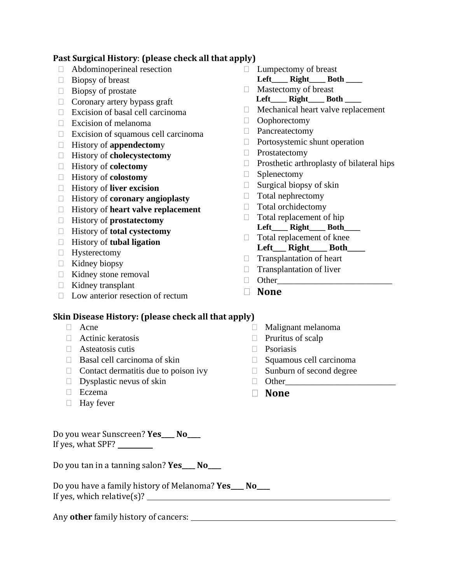#### **Past Surgical History**: **(please check all that apply)**

- Abdominoperineal resection
- $\Box$  Biopsy of breast
- $\Box$  Biopsy of prostate
- $\Box$  Coronary artery bypass graft
- $\Box$  Excision of basal cell carcinoma
- $\Box$  Excision of melanoma
- $\Box$  Excision of squamous cell carcinoma
- History of **appendectom**y
- History of **cholecystectomy**
- History of **colectomy**
- History of **colostomy**
- History of **liver excision**
- History of **coronary angioplasty**
- History of **heart valve replacement**
- History of **prostatectomy**
- History of **total cystectomy**
- History of **tubal ligation**
- **Hysterectomy**
- $\Box$  Kidney biopsy
- Kidney stone removal
- $\Box$  Kidney transplant
- $\Box$  Low anterior resection of rectum
- **Lumpectomy of breast**
- Left Right Both Mastectomy of breast
- **Left\_\_\_\_ Right\_\_\_\_ Both \_\_\_\_**
- $\Box$  Mechanical heart valve replacement
- Oophorectomy
- D Pancreatectomy
- $\Box$  Portosystemic shunt operation
- **Prostatectomy**
- $\Box$  Prosthetic arthroplasty of bilateral hips
- $\Box$  Splenectomy
- $\Box$  Surgical biopsy of skin
- $\Box$  Total nephrectomy
- Total orchidectomy
- $\Box$  Total replacement of hip **Left\_\_\_\_ Right\_\_\_\_ Both\_\_\_\_**
- $\Box$  Total replacement of knee Left Right Both
- $\Box$  Transplantation of heart
- $\Box$  Transplantation of liver
- Other\_\_\_\_\_\_\_\_\_\_\_\_\_\_\_\_\_\_\_\_\_\_\_\_\_\_
- **None**

## **Skin Disease History: (please check all that apply)**

- □ Acne
- $\Box$  Actinic keratosis
- $\Box$  Asteatosis cutis
- $\Box$  Basal cell carcinoma of skin
- $\Box$  Contact dermatitis due to poison ivy
- $\Box$  Dysplastic nevus of skin
- □ Eczema
- $\Box$  Hay fever

Do you wear Sunscreen? **Yes\_\_\_\_ No\_\_\_\_** If yes, what SPF?

Do you tan in a tanning salon? **Yes\_\_\_\_ No\_\_\_\_**

Do you have a family history of Melanoma? **Yes\_\_\_\_ No\_\_\_\_** If yes, which relative(s)?

Any **other** family history of cancers:

- $\Box$  Malignant melanoma
- $\Box$  Pruritus of scalp
- **Psoriasis**
- $\Box$  Squamous cell carcinoma
- $\Box$  Sunburn of second degree
- $\Box$  Other
- **None**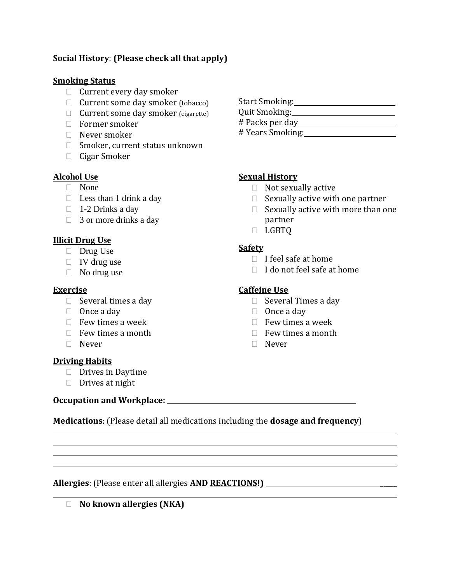### **Social History**: **(Please check all that apply)**

#### **Smoking Status**

- $\Box$  Current every day smoker
- $\Box$  Current some day smoker (tobacco)
- □ Current some day smoker (cigarette)
- Former smoker
- $\Box$  Never smoker
- $\Box$  Smoker, current status unknown
- □ Cigar Smoker

#### **Alcohol Use**

- None
- $\Box$  Less than 1 drink a day
- $\Box$  1-2 Drinks a day
- $\Box$  3 or more drinks a day

#### **Illicit Drug Use**

- Drug Use
- $\Box$  IV drug use
- $\Box$  No drug use

#### **Exercise**

- $\Box$  Several times a day
- $\Box$  Once a day
- $\Box$  Few times a week
- $\Box$  Few times a month
- □ Never

#### **Driving Habits**

 $\overline{a}$  $\overline{a}$  $\overline{a}$ l

- $\Box$  Drives in Daytime
- $\Box$  Drives at night

## **Occupation and Workplace:**

**Medications**: (Please detail all medications including the **dosage and frequency**)

**Allergies**: (Please enter all allergies **AND REACTIONS!)** \_\_\_\_\_  $\_$  , and the contract of the contract of the contract of the contract of the contract of the contract of the contract of the contract of the contract of the contract of the contract of the contract of the contract of the

**No known allergies (NKA)**

- Start Smoking: Quit Smoking: # Packs per day
- # Years Smoking:

#### **Sexual History**

- $\Box$  Not sexually active
- $\Box$  Sexually active with one partner
- $\Box$  Sexually active with more than one partner
- D LGBTQ

#### **Safety**

- $\Box$  I feel safe at home
- $\Box$  I do not feel safe at home

#### **Caffeine Use**

- $\Box$  Several Times a day
- $\Box$  Once a day
- $\Box$  Few times a week
- $\Box$  Few times a month
- Never